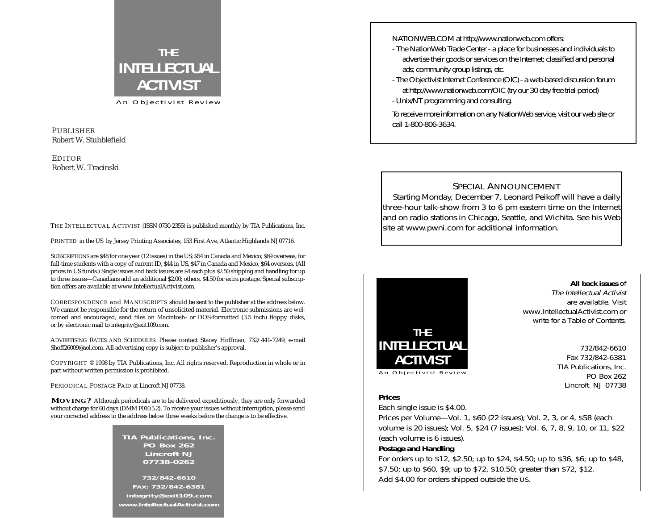

An Objectivist Review

#### PUBLISHER Robert W. Stubblefield

#### EDITOR Robert W. Tracinski

THE INTELLECTUAL ACTIVIST (ISSN 0730-2355) is published monthly by TIA Publications, Inc.

PRINTED in the US by Jersey Printing Associates, 153 First Ave, Atlantic Highlands NJ 07716.

SUBSCRIPTIONS are \$48 for one year (12 issues) in the US; \$54 in Canada and Mexico; \$69 overseas; for full-time students with a copy of current ID, \$44 in US, \$47 in Canada and Mexico, \$64 overseas. (All prices in US funds.) Single issues and back issues are \$4 each plus \$2.50 shipping and handling for up to three issues—Canadians add an additional \$2.00; others, \$4.50 for extra postage. Special subscription offers are available at www.IntellectualActivist.com.

CORRESPONDENCE and MANUSCRIPTS should be sent to the publisher at the address below. We cannot be responsible for the return of unsolicited material. Electronic submissions are welcomed and encouraged; send files on Macintosh- or DOS-formatted (3.5 inch) floppy disks, or by electronic mail to integrity@exit109.com.

ADVERTISING RATES AND SCHEDULES: Please contact Stacey Hoffman, 732/441-7249, e-mail Shoff26009@aol.com. All advertising copy is subject to publisher's approval.

COPYRIGHT © 1998 by TIA Publications, Inc. All rights reserved. Reproduction in whole or in part without written permission is prohibited.

PERIODICAL POSTAGE PAID at Lincroft NJ 07738.

**MOVING?** Although periodicals are to be delivered expeditiously, they are only forwarded without charge for 60 days (DMM F010.5.2). To receive your issues without interruption, please send your corrected address to the address below three weeks before the change is to be effective.

> **TIA Publications, Inc. PO Box 262 Lincroft NJ 07738-0262**

**732/842-6610 FAX: 732/842-6381 integrity@exit109.com www.IntellectualActivist.com** NATIONWEB.COM at http://www.nationweb.com offers:

- The NationWeb Trade Center a place for businesses and individuals to advertise their goods or services on the Internet; classified and personal ads; community group listings, etc.
- The Objectivist Internet Conference (OIC) a web-based discussion forum at http://www.nationweb.com/OIC (try our 30 day free trial period)
- Unix/NT programming and consulting.

To receive more information on any NationWeb service, visit our web site or call 1-800-806-3634.

### SPECIAL ANNOUNCEMENT

Starting Monday, December 7, Leonard Peikoff will have a daily three-hour talk-show from 3 to 6 pm eastern time on the Internet and on radio stations in Chicago, Seattle, and Wichita. See his Web site at www.pwni.com for additional information.



**All back issues** of The Intellectual Activist are available. Visit www.IntellectualActivist.com or write for a Table of Contents.

> 732/842-6610 Fax 732/842-6381 TIA Publications, Inc. PO Box 262 Lincroft NJ 07738

#### **Prices**

Each single issue is \$4.00.

Prices per Volume—Vol. 1, \$60 (22 issues); Vol. 2, 3, or 4, \$58 (each volume is 20 issues); Vol. 5, \$24 (7 issues); Vol. 6, 7, 8, 9, 10, or 11, \$22 (each volume is 6 issues).

#### **Postage and Handling**

For orders up to \$12, \$2.50; up to \$24, \$4.50; up to \$36, \$6; up to \$48, \$7.50; up to \$60, \$9; up to \$72, \$10.50; greater than \$72, \$12. Add \$4.00 for orders shipped outside the US.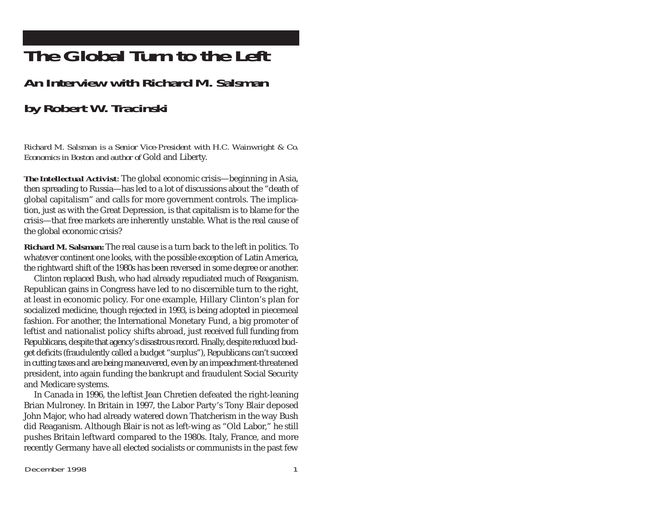# **The Global Turn to the Left**

## **An Interview with Richard M. Salsman**

## **by Robert W. Tracinski**

*Richard M. Salsman is a Senior Vice-President with H.C. Wainwright & Co. Economics in Boston and author of* Gold and Liberty.

*The Intellectual Activist*: The global economic crisis—beginning in Asia, then spreading to Russia—has led to a lot of discussions about the "death of global capitalism" and calls for more government controls. The implication, just as with the Great Depression, is that capitalism is to blame for the crisis—that free markets are inherently unstable. What is the real cause of the global economic crisis?

**Richard M. Salsman:** The real cause is a turn back to the left in politics. To whatever continent one looks, with the possible exception of Latin America, the rightward shift of the 1980s has been reversed in some degree or another.

Clinton replaced Bush, who had already repudiated much of Reaganism. Republican gains in Congress have led to no discernible turn to the right, at least in economic policy. For one example, Hillary Clinton's plan for socialized medicine, though rejected in 1993, is being adopted in piecemeal fashion. For another, the International Monetary Fund, a big promoter of leftist and nationalist policy shifts abroad, just received full funding from Republicans, despite that agency's disastrous record. Finally, despite reduced budget deficits (fraudulently called a budget "surplus"), Republicans can't succeed in cutting taxes and are being maneuvered, even by an impeachment-threatened president, into again funding the bankrupt and fraudulent Social Security and Medicare systems.

In Canada in 1996, the leftist Jean Chretien defeated the right-leaning Brian Mulroney. In Britain in 1997, the Labor Party's Tony Blair deposed John Major, who had already watered down Thatcherism in the way Bush did Reaganism. Although Blair is not as left-wing as "Old Labor," he still pushes Britain leftward compared to the 1980s. Italy, France, and more recently Germany have all elected socialists or communists in the past few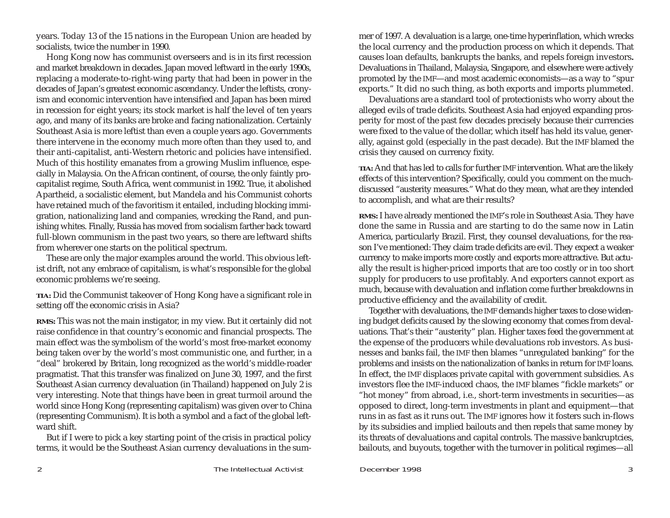years. Today 13 of the 15 nations in the European Union are headed by socialists, twice the number in 1990.

Hong Kong now has communist overseers and is in its first recession and market breakdown in decades. Japan moved leftward in the early 1990s, replacing a moderate-to-right-wing party that had been in power in the decades of Japan's greatest economic ascendancy. Under the leftists, cronyism and economic intervention have intensified and Japan has been mired in recession for eight years; its stock market is half the level of ten years ago, and many of its banks are broke and facing nationalization. Certainly Southeast Asia is more leftist than even a couple years ago. Governments there intervene in the economy much more often than they used to, and their anti-capitalist, anti-Western rhetoric and policies have intensified. Much of this hostility emanates from a growing Muslim influence, especially in Malaysia. On the African continent, of course, the only faintly procapitalist regime, South Africa, went communist in 1992. True, it abolished Apartheid, a socialistic element, but Mandela and his Communist cohorts have retained much of the favoritism it entailed, including blocking immigration, nationalizing land and companies, wrecking the Rand, and punishing whites. Finally, Russia has moved from socialism farther back toward full-blown communism in the past two years, so there are leftward shifts from wherever one starts on the political spectrum.

These are only the major examples around the world. This obvious leftist drift, not any embrace of capitalism, is what's responsible for the global economic problems we're seeing.

*TIA:* Did the Communist takeover of Hong Kong have a significant role in setting off the economic crisis in Asia?

**RMS:** This was not the main instigator, in my view. But it certainly did not raise confidence in that country's economic and financial prospects. The main effect was the symbolism of the world's most free-market economy being taken over by the world's most communistic one, and further, in a "deal" brokered by Britain, long recognized as the world's middle-roader pragmatist. That this transfer was finalized on June 30, 1997, and the first Southeast Asian currency devaluation (in Thailand) happened on July 2 is very interesting. Note that things have been in great turmoil around the world since Hong Kong (representing capitalism) was given over to China (representing Communism). It is both a symbol and a fact of the global leftward shift.

But if I were to pick a key starting point of the crisis in practical policy terms, it would be the Southeast Asian currency devaluations in the summer of 1997. A devaluation is a large, one-time hyperinflation, which wrecks the local currency and the production process on which it depends. That causes loan defaults, bankrupts the banks, and repels foreign investors**.** Devaluations in Thailand, Malaysia, Singapore, and elsewhere were actively promoted by the IMF—and most academic economists—as a way to "spur exports." It did no such thing, as both exports and imports plummeted.

Devaluations are a standard tool of protectionists who worry about the alleged evils of trade deficits. Southeast Asia had enjoyed expanding prosperity for most of the past few decades precisely because their currencies were fixed to the value of the dollar, which itself has held its value, generally, against gold (especially in the past decade). But the IMF blamed the crisis they caused on currency fixity.

*TIA:* And that has led to calls for further IMF intervention. What are the likely effects of this intervention? Specifically, could you comment on the muchdiscussed "austerity measures." What do they mean, what are they intended to accomplish, and what are their results?

**RMS:** I have already mentioned the IMF's role in Southeast Asia. They have done the same in Russia and are starting to do the same now in Latin America, particularly Brazil. First, they counsel devaluations, for the reason I've mentioned: They claim trade deficits are evil. They expect a weaker currency to make imports more costly and exports more attractive. But actually the result is higher-priced imports that are too costly or in too short supply for producers to use profitably. And exporters cannot export as much, because with devaluation and inflation come further breakdowns in productive efficiency and the availability of credit.

Together with devaluations, the IMF demands higher taxes to close widening budget deficits caused by the slowing economy that comes from devaluations. That's their "austerity" plan. Higher taxes feed the government at the expense of the producers while devaluations rob investors. As businesses and banks fail, the IMF then blames "unregulated banking" for the problems and insists on the nationalization of banks in return for IMF loans. In effect, the IMF displaces private capital with government subsidies. As investors flee the IMF-induced chaos, the IMF blames "fickle markets" or "hot money" from abroad, i.e., short-term investments in securities—as opposed to direct, long-term investments in plant and equipment—that runs in as fast as it runs out. The IMF ignores how it fosters such in-flows by its subsidies and implied bailouts and then repels that same money by its threats of devaluations and capital controls. The massive bankruptcies, bailouts, and buyouts, together with the turnover in political regimes—all